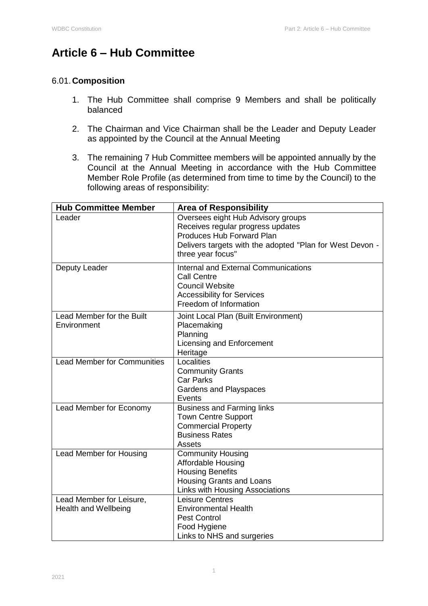# **Article 6 – Hub Committee**

### 6.01. **Composition**

- 1. The Hub Committee shall comprise 9 Members and shall be politically balanced
- 2. The Chairman and Vice Chairman shall be the Leader and Deputy Leader as appointed by the Council at the Annual Meeting
- 3. The remaining 7 Hub Committee members will be appointed annually by the Council at the Annual Meeting in accordance with the Hub Committee Member Role Profile (as determined from time to time by the Council) to the following areas of responsibility:

| <b>Hub Committee Member</b>                             | <b>Area of Responsibility</b>                                                                                                                                                                |
|---------------------------------------------------------|----------------------------------------------------------------------------------------------------------------------------------------------------------------------------------------------|
| Leader                                                  | Oversees eight Hub Advisory groups<br>Receives regular progress updates<br><b>Produces Hub Forward Plan</b><br>Delivers targets with the adopted "Plan for West Devon -<br>three year focus" |
| Deputy Leader                                           | <b>Internal and External Communications</b><br><b>Call Centre</b><br><b>Council Website</b><br><b>Accessibility for Services</b><br>Freedom of Information                                   |
| Lead Member for the Built<br>Environment                | Joint Local Plan (Built Environment)<br>Placemaking<br>Planning<br>Licensing and Enforcement<br>Heritage                                                                                     |
| <b>Lead Member for Communities</b>                      | Localities<br><b>Community Grants</b><br><b>Car Parks</b><br>Gardens and Playspaces<br>Events                                                                                                |
| Lead Member for Economy                                 | <b>Business and Farming links</b><br><b>Town Centre Support</b><br><b>Commercial Property</b><br><b>Business Rates</b><br>Assets                                                             |
| <b>Lead Member for Housing</b>                          | <b>Community Housing</b><br><b>Affordable Housing</b><br><b>Housing Benefits</b><br>Housing Grants and Loans<br>Links with Housing Associations                                              |
| Lead Member for Leisure,<br><b>Health and Wellbeing</b> | <b>Leisure Centres</b><br><b>Environmental Health</b><br><b>Pest Control</b><br>Food Hygiene<br>Links to NHS and surgeries                                                                   |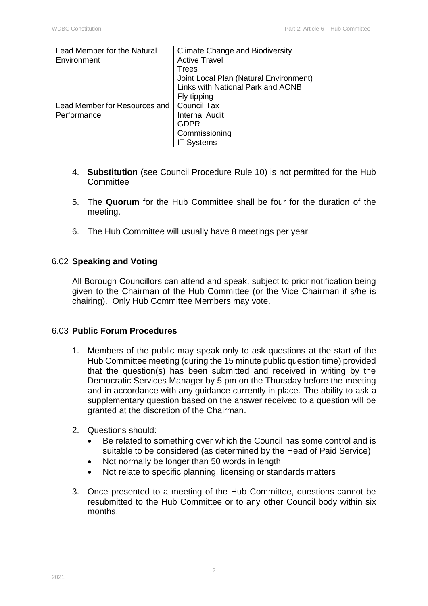| Lead Member for the Natural   | <b>Climate Change and Biodiversity</b> |
|-------------------------------|----------------------------------------|
| Environment                   | <b>Active Travel</b>                   |
|                               | Trees                                  |
|                               | Joint Local Plan (Natural Environment) |
|                               | Links with National Park and AONB      |
|                               | Fly tipping                            |
| Lead Member for Resources and | <b>Council Tax</b>                     |
| Performance                   | <b>Internal Audit</b>                  |
|                               | <b>GDPR</b>                            |
|                               | Commissioning                          |
|                               | <b>IT Systems</b>                      |

- 4. **Substitution** (see Council Procedure Rule 10) is not permitted for the Hub **Committee**
- 5. The **Quorum** for the Hub Committee shall be four for the duration of the meeting.
- 6. The Hub Committee will usually have 8 meetings per year.

### 6.02 **Speaking and Voting**

All Borough Councillors can attend and speak, subject to prior notification being given to the Chairman of the Hub Committee (or the Vice Chairman if s/he is chairing). Only Hub Committee Members may vote.

#### 6.03 **Public Forum Procedures**

- 1. Members of the public may speak only to ask questions at the start of the Hub Committee meeting (during the 15 minute public question time) provided that the question(s) has been submitted and received in writing by the Democratic Services Manager by 5 pm on the Thursday before the meeting and in accordance with any guidance currently in place. The ability to ask a supplementary question based on the answer received to a question will be granted at the discretion of the Chairman.
- 2. Questions should:
	- Be related to something over which the Council has some control and is suitable to be considered (as determined by the Head of Paid Service)
	- Not normally be longer than 50 words in length
	- Not relate to specific planning, licensing or standards matters
- 3. Once presented to a meeting of the Hub Committee, questions cannot be resubmitted to the Hub Committee or to any other Council body within six months.